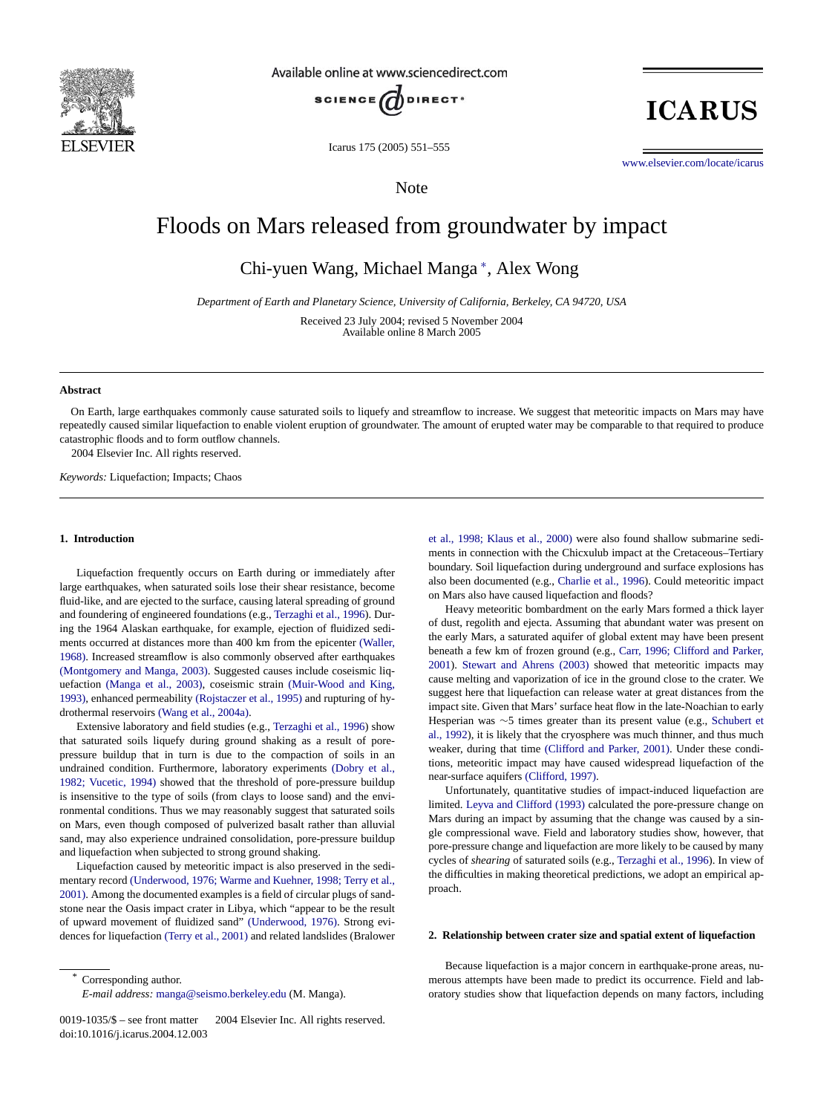

Available online at www.sciencedirect.com



Icarus 175 (2005) 551–555

**ICARUS** 

www.elsevier.com/locate/icarus

Note

# Floods on Mars released from groundwater by impact

Chi-yuen Wang, Michael Manga <sup>∗</sup> , Alex Wong

*Department of Earth and Planetary Science, University of California, Berkeley, CA 94720, USA*

Received 23 July 2004; revised 5 November 2004 Available online 8 March 2005

#### **Abstract**

On Earth, large earthquakes commonly cause saturated soils to liquefy and streamflow to increase. We suggest that meteoritic impacts on Mars may have repeatedly caused similar liquefaction to enable violent eruption of groundwater. The amount of erupted water may be comparable to that required to produce catastrophic floods and to form outflow channels. 2004 Elsevier Inc. All rights reserved.

*Keywords:* Liquefaction; Impacts; Chaos

## **1. Introduction**

Liquefaction frequently occurs on Earth d[uring or immediately](#page-4-0) after large earthquakes, when saturated soils lose their shear resistance, become fluid-like, and are ejected to the surface, causing lateral spreading o[f ground](#page-4-0) [and fo](#page-4-0)undering of engineered foundations (e.g., Terzaghi et al., 1996). Dur[ing the 1964 Alaskan earthquake](#page-4-0), for example, ejection of fluidized sediments occ[urred at distances mor](#page-4-0)e than 400 km fro[m the epicenter](#page-4-0) (Waller, [1968\).](#page-4-0) Increased streamflow [is also commonly observe](#page-4-0)d after earthquakes (Montgomery and M[anga, 2003\). Suggeste](#page-4-0)d causes include coseismic liquefaction (Manga et al., 2003), coseismic strain [\(Muir-Wood and](#page-4-0) King, 1993), enhanced permeability (Rojstaczer et al., 1995) and rupturing of hydrothermal reservoirs (Wang et al., 2004a).

Extensive laboratory and field studies (e.g., Terzaghi et [al., 1996\) show](#page-3-0) [that saturated soils li](#page-3-0)quefy during ground shaking as a result of porepressure buildup that in turn is due to the compaction of soils in an undrained condition. Furthermore, laboratory experiments (Dobry et al., 1982; Vucetic, 1994) showed that the threshold of pore-pressure buildup is insensitive to the type of soils (from clays to loose sand) and the environmental conditions. Thus we may reasonably suggest that saturated soils on Mars, even though composed of pulverized basalt rather than alluvial sand, may also [experience undrained consolidation, pore-pressure buildup](#page-4-0) [and liq](#page-4-0)uefaction when subjected to strong ground shaking.

Liquefaction caused by meteoritic impact is also preserved in the sedimentary record (Underwood, 1976; Warm[e and Kuehner, 1998](#page-4-0); Terry et al., 2001). Among the doc[umented examples is](#page-4-0) a field of circular plugs of sandstone near the Oasis impact crater in Libya, which "appear to be the result of upward movement of fluidized sand" (Underwood, 1976). Strong evidences for liquefaction (Terry et al., 2001) and related landslides (Bralower et al., 1998; Klaus et al., 2000) [were also found](#page-3-0) shallow submarine sediments in connection with the Chicxulub impact at the Cretaceous–Tertiary boundary. Soil liquefaction during underground and surface explosions has also been documented (e.g., Charlie et al., 1996). Could meteoritic impact on Mars also have caused liquefaction and floods?

Heavy meteoritic bombardment on th[e early Mars formed a thick layer](#page-3-0) [of dus](#page-3-0)t[, regolith and ejecta. Assumin](#page-4-0)g that abundant water was present on the early Mars, a saturated aquifer of global extent may have been present beneath a few km of frozen ground (e.g., Carr, 1996; Clifford and Parker, 2001). Stewart and Ahrens (2003) showed that meteoritic impacts may cause melting and vaporization of ice in the ground close to th[e crater. We](#page-4-0) [suggest h](#page-4-0)ere that liquefaction can release water at great distances from the impact site. Given that M[ars' surface heat flow in the la](#page-3-0)te-Noachian to early Hesperian was ∼5 times greater than its present value (e.g., Schubert et al., 1992), it is likely [that the cryosphe](#page-3-0)re was much thinner, and thus much weaker, during that time (Clifford and Parker, 2001). Under these conditions, [meteoritic impact may have](#page-4-0) caused widespread liquefaction of the near-surface aquifers (Clifford, 1997).

Unfortunately, quantitative studies of impact-induced liquefaction are limited. Leyva and Clifford (1993) calculated the pore-pressure change on Mars during an impact by assuming that [the change was caus](#page-4-0)ed by a single compressional wave. Field and laboratory studies show, however, that pore-pressure change and liquefaction are more likely to be caused by many cycles of *shearing* of saturated soils (e.g., Terzaghi et al., 1996). In view of the difficulties in making theoretical predictions, we adopt an empirical approach.

#### **2. Relationship between crater size and spatial extent of liquefaction**

Because liquefaction is a major concern in earthquake-prone areas, numerous attempts have been made to predict its occurrence. Field and laboratory studies show that liquefaction depends on many factors, including

Corresponding author.

*E-mail address:* manga@seismo.berkeley.edu (M. Manga).

<sup>0019-1035/\$ –</sup> see front matter © 2004 Elsevier Inc. All rights reserved. doi:10.1016/j.icarus.2004.12.003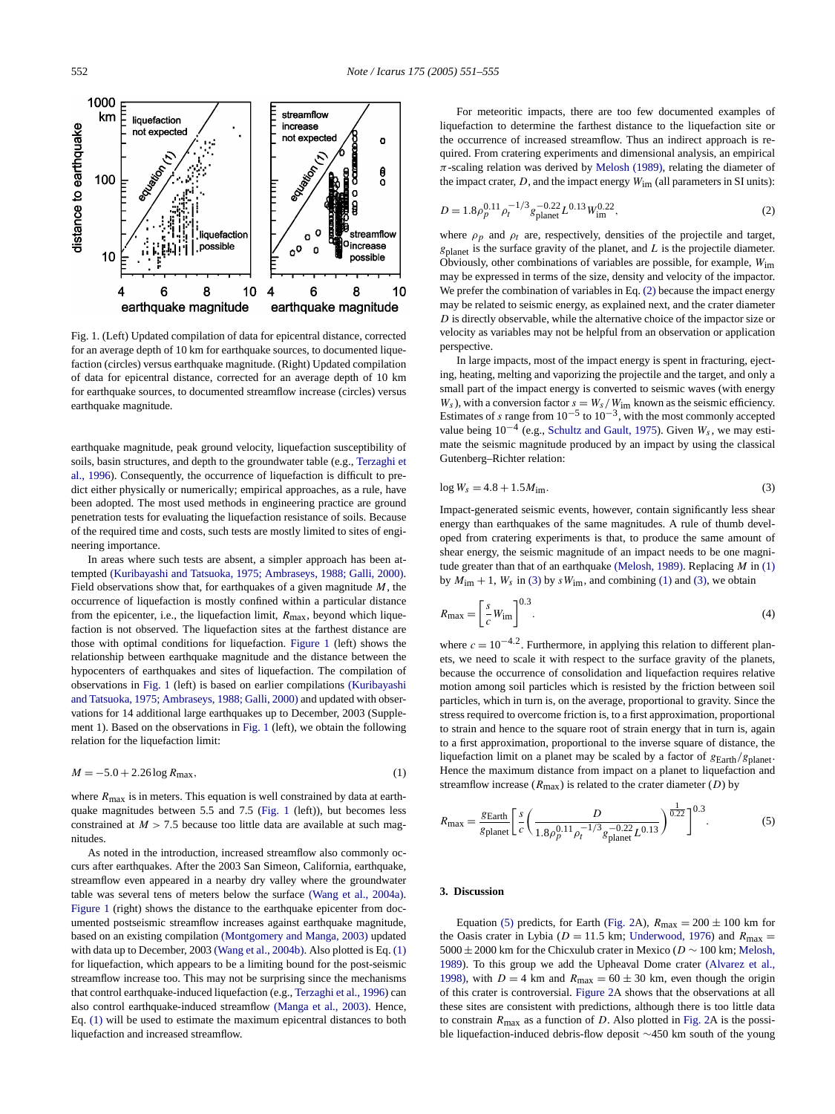<span id="page-1-0"></span>

Fig. 1. (Left) Updated compilation of data for epicentral distance, corrected for an average depth of 10 km for earthquake sources, to documented liquefaction (circles) versus earthquake magnitude. (Right) Updated compilation of data for epicentral distance, corrected for an average depth of 10 km for earthquake sources, to documented streamflow increase (circles) versus earthquake magnitude.

[earthquak](#page-4-0)e magnitude, peak ground velocity, liquefaction susceptibility of soils, basin structures, and depth to the groundwater table (e.g., Terzaghi et al., 1996). Consequently, the occurrence of liquefaction is difficult to predict either physically or numerically; empirical approaches, as a rule, have been adopted. The most used methods in engineering practice are ground penetration tests for evaluating the liquefaction resistance of soils. Because of the re[quired time and costs, such tests are mostly limited to sites of engi](#page-4-0)neering importance.

In areas where such tests are absent, a simpler approach has been attempted (Kuribayashi and Tatsuoka, 1975; Ambraseys, 1988; Galli, 2000). Field observations show that, for earthquakes of a given magnitude *M*, the occurrence of liquefaction is mostly confined within a particular distance from the epicenter, i.e., the liquefaction limit, *R*max, beyond which liquefaction is not observed. The liquefaction sites at the farthest distance are those with optimal conditions for liquefaction. Figure 1 (le[ft\) shows the](#page-4-0) [relationship between earthquake magnitude and th](#page-4-0)e distance between the hypocenters of earthquakes and sites of liquefaction. The compilation of observations in Fig. 1 (left) is based on earlier compilations (Kuribayashi and Tatsuoka, 1975; Ambraseys, 1988; Galli, 2000) and updated with observations for 14 additional large earthquakes up to December, 2003 (Supplement 1). Based on the observations in Fig. 1 (left), we obtain the following relation for the liquefaction limit:

$$
M = -5.0 + 2.26 \log R_{\text{max}},\tag{1}
$$

where  $R_{\text{max}}$  is in meters. This equation is well constrained by data at earthquake magnitudes between 5.5 and 7.5 (Fig. 1 (left)), but becomes less constrained at  $M > 7.5$  because too little data are available at such magnitudes.

As noted in the introduction, increased streamfl[ow also commonly oc](#page-4-0)curs after earthquakes. After the 2003 San Simeon, California, earthquake, streamflow even appeared in a nearby dry valley where the groundwater table was several tens of meters [below the surface](#page-4-0) (Wang et al., 2004a). Figure 1 (right) shows the dist[ance to the earthquak](#page-4-0)e epicenter from documented postseismic streamflow increases against earthquake magnitude, based on an existing compilation (Montgomery and Manga, 2003) updated with data up to December, 2003 (Wang et al., 200[4b\). Also plotted is Eq](#page-4-0). (1) for liquefaction, which appears to be a limiti[ng bound for the post-](#page-4-0)seismic streamflow increase too. This may not be surprising since the mechanisms that control earthquake-induced liquefaction (e.g., Terzaghi et al., 1996) can also control earthquake-induced streamflow (Manga et al., 2003). Hence, Eq. (1) will be used to estimate the maximum epicentral distances to both liquefaction and increased streamflow.

For meteoritic impacts, there are too few documented examples of liquefaction to determine the fart[hest distance to](#page-4-0) the liquefaction site or the occurrence of increased streamflow. Thus an indirect approach is required. From cratering experiments and dimensional analysis, an empirical  $\pi$ -scaling relation was derived by Melosh (1989), relating the diameter of the impact crater, *D*, and the impact energy  $W_{\text{im}}$  (all parameters in SI units):

$$
D = 1.8 \rho_p^{0.11} \rho_t^{-1/3} g_{\text{planet}}^{-0.22} L^{0.13} W_{\text{im}}^{0.22},\tag{2}
$$

where  $\rho_p$  and  $\rho_t$  are, respectively, densities of the projectile and target, *g*planet is the surface gravity of the planet, and *L* is the projectile diameter. Obviously, other combinations of variables are possible, for example, *W*im may be expressed in terms of the size, density and velocity of the impactor. We prefer the combination of variables in Eq. (2) because the impact energy may be related to seismic energy, as explained next, and the crater diameter *D* is directly observable, while the alternative choice of the impactor size or velocity as variables may not be helpful from an observation or application perspective.

In large impacts, most of the impact energy is spent in fracturing, ejecting, heating, melting and vaporizing the projectile and the target, and only a small part of the impact [energy is converted to se](#page-4-0)ismic waves (with energy  $W_s$ ), with a conversion factor  $s = W_s/W_{\text{im}}$  known as the seismic efficiency. Estimates of *s* range from  $10^{-5}$  to  $10^{-3}$ , with the most commonly accepted value being  $10^{-4}$  (e.g., Schultz and Gault, 1975). Given  $W_s$ , we may estimate the seismic magnitude produced by an impact by using the classical Gutenberg–Richter relation:

$$
\log W_s = 4.8 + 1.5 M_{\rm im}.\tag{3}
$$

Impact-generated seismic events, however, contain significantly less shear energy than earthquakes of the same [magnitudes. A r](#page-4-0)ule of thumb developed from cratering experiments is that, to produce the same amount of shear energy, the seismic magnitude of an impact needs to be one magnitude greater than that of an earthquake (Melosh, 1989). Replacing *M* in (1) by  $M_{\text{im}} + 1$ ,  $W_s$  in (3) by  $sW_{\text{im}}$ , and combining (1) and (3), we obtain

$$
R_{\text{max}} = \left[\frac{s}{c}W_{\text{im}}\right]^{0.3}.\tag{4}
$$

where  $c = 10^{-4.2}$ . Furthermore, in applying this relation to different planets, we need to scale it with respect to the surface gravity of the planets, because the occurrence of consolidation and liquefaction requires relative motion among soil particles which is resisted by the friction between soil particles, which in turn is, on the average, proportional to gravity. Since the stress required to overcome friction is, to a first approximation, proportional to strain and hence to the square root of strain energy that in turn is, again to a first approximation, proportional to the inverse square of distance, the liquefaction limit on a planet may be scaled by a factor of *g*Earth*/g*planet. Hence the maximum distance from impact on a planet to liquefaction and streamflow increase  $(R_{\text{max}})$  is related to the crater diameter  $(D)$  by

$$
R_{\text{max}} = \frac{g_{\text{Earth}}}{g_{\text{planet}}} \left[ \frac{s}{c} \left( \frac{D}{1.8 \rho_p^{0.11} \rho_t^{-1/3} s_{\text{planet}}^{-0.22} L^{0.13}} \right)^{\frac{1}{0.22}} \right]^{0.3}.
$$
 (5)

### **3. Discussion**

[Eq](#page-4-0)uation (5) predicts, for Earth (Fig. 2A),  $R_{\text{max}} = 200 \pm 100$  km for [the Oa](#page-3-0)sis crater in Lybia ( $D = 11.5$  km; Underwood, 1976) and  $R_{\text{max}} =$ 5000±2000 km for the Chicx[ulub crate](#page-2-0)r in Mexico (*D* ∼ 100 km; Melosh, 1989). To this group we add the Upheaval Dome crater (Alvarez et al., 1998), with  $D = 4$  km and  $R_{\text{max}} = 60 \pm 30$  km, ev[en thou](#page-2-0)gh the origin of this crater is controversial. Figure 2A shows that the observations at all these sites are consistent with predictions, although there is too little data to constrain  $R_{\text{max}}$  as a function of *D*. Also plotted in Fig. 2A is the possible liquefaction-induced debris-flow deposit ∼450 km south of the young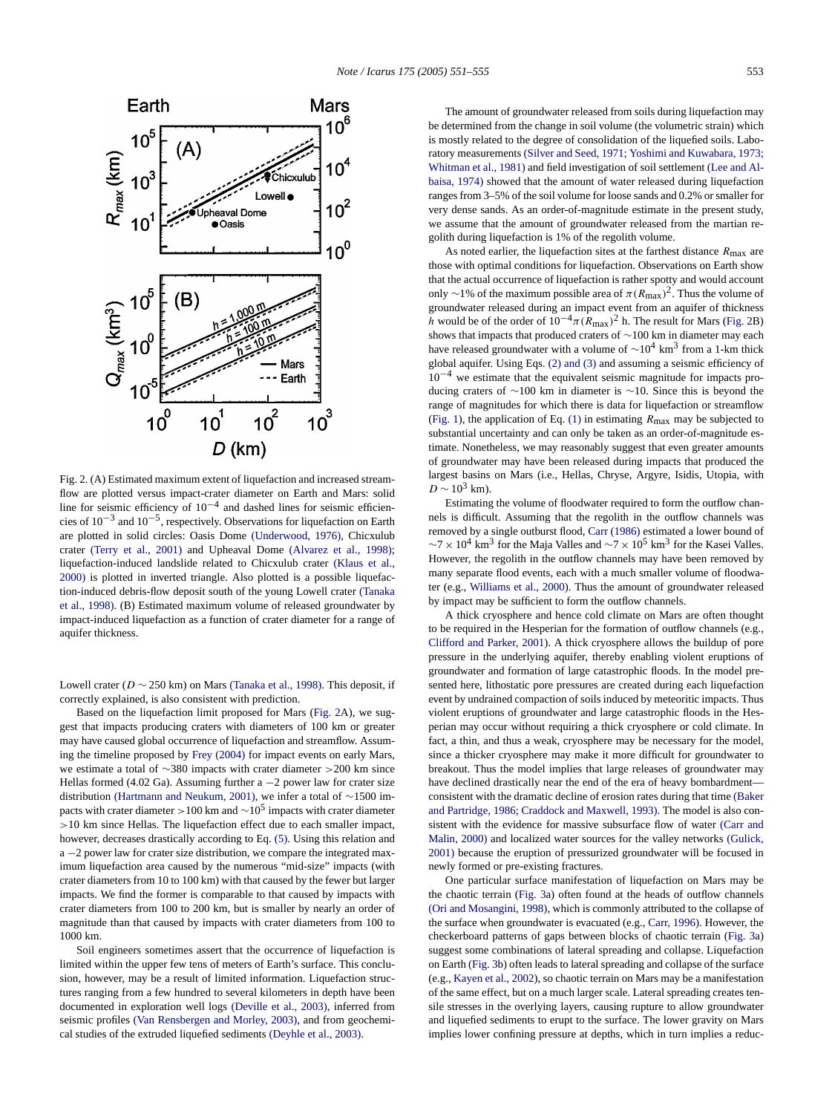<span id="page-2-0"></span>

Fig. 2. (A) Estimated maximum extent of liquefaction and increased streamflow are plotted versus impact-crater dia[meter on Earth and](#page-4-0) Mars: solid line fo[r seismic efficiency o](#page-4-0)f  $10^{-4}$  and dashed li[nes for seismic efficien](#page-3-0)cies of  $10^{-3}$  and  $10^{-5}$ , respectively. Observations for liquefa[ction on Earth](#page-4-0) [are plo](#page-4-0)tted in solid circles: Oasis Dome (Underwood, 1976), Chicxulub crater (Terry et al., 2001) and Upheaval Dome (Alvarez et al[., 1998\);](#page-4-0) [liquefaction-](#page-4-0)induced landslide related to Chicxulub crater (Klaus et al., 2000) is plotted in inverted triangle. Also plotted is a possible liquefaction-induced debris-flow deposit south of the young Lowell crater (Tanaka et al., 1998). (B) Estimated maximum volume of released groundwater by impact-induced liquefaction as a function of crater diameter for a range of aquifer thickness.

Lowell crater ( $D \sim 250$  km) on Mars (Tanaka et al., 1998). This deposit, if correctly explained, is also consistent with prediction.

Based on the liquefactio[n limit propo](#page-3-0)sed for Mars (Fig. 2A), we suggest that impacts producing craters with diameters of 100 km or greater may have caused global occurrence of liquefaction and streamflow. Assuming the tim[eline proposed by](#page-4-0) Frey (2004) for impact events on early Mars, we estimate a total of ∼380 impacts with crater diameter *>*200 km since Hellas formed (4.02 Ga). Assuming further a −2 power law for crater size distribution (Hartmann and Neukum, 2001), w[e inf](#page-1-0)er a total of ∼1500 impacts with crater diameter *<sup>&</sup>gt;*100 km and <sup>∼</sup>105 impacts with crater diameter *>*10 km since Hellas. The liquefaction effect due to each smaller impact, however, decreases drastically according to Eq. (5). Using this relation and a −2 power law for crater size distribution, we compare the integrated maximum liquefaction area caused by the numerous "mid-size" impacts (with crater diameters from 10 to 100 km) with that caused by the fewer but larger impacts. We find the former is comparable to that caused by impacts with crater diameters from 100 to 200 km, but is smaller by nearly an order of magnitude than that caused by impacts with crater diameters from 100 to 1000 km.

Soil engineers sometimes assert that the occurrence of liquefaction is limited within the upper few tens of [meters of Earth's surfac](#page-3-0)e. This conclusion, however, [may be a result of limited information](#page-4-0). Liquefaction structures ranging from a few hundred to several k[ilometers in depth hav](#page-3-0)e been documented in exploration well logs (Deville et al., 2003), inferred from seismic profiles (Van Rensbergen and Morley, 2003), and from geochemical studies of the extruded liquefied sediments (Deyhle et al., 2003).

The amount of gr[oundwater released from soils during liquefaction may](#page-4-0) [be determined from th](#page-4-0)e change in soil volume (the volumetric [strain\) which](#page-4-0) [is mostly rela](#page-4-0)ted to the degree of consolidation of the liquefied soils. Laboratory measurements (Silver and Seed, 1971; Yoshimi and Kuwabara, 1973; Whitman et al., 1981) and field investigation of soil settlement (Lee and Albaisa, 1974) showed that the amount of water released during liquefaction ranges from 3–5% of the soil volume for loose sands and 0.2% or smaller for very dense sands. As an order-of-magnitude estimate in the present study, we assume that the amount of groundwater released from the martian regolith during liquefaction is 1% of the regolith volume.

As noted earlier, the liquefaction sites at the farthest distance *R*max are those with optimal conditions for liquefaction. Observations on Earth show that the actual occurrence of liquefaction is rather spotty and would account only ~1% of the maximum possible area of  $\pi (R_{\text{max}})^2$ . Thus the volume of groundwater released during an impact event from an aquifer of thickness *h* would be of the order of  $10^{-4} \pi (R_{\text{max}})^2$  h. The result for Mars (Fig. 2B) shows that impacts that produced craters of ∼100 km in diameter may each have released groundwater with a volume of  $\sim 10^4$  km<sup>3</sup> from a 1-km thick global aquifer. Using Eqs. (2) and (3) and assuming a seismic efficiency of  $10^{-4}$  $10^{-4}$  we estimate that the eq[uival](#page-1-0)ent seismic magnitude for impacts producing craters of ∼100 km in diameter is ∼10. Since this is beyond the range of magnitudes for which there is data for liquefaction or streamflow (Fig. 1), the application of Eq. (1) in estimating *R*max may be subjected to substantial uncertainty and can only be taken as an order-of-magnitude estimate. Nonetheless, we may reasonably suggest that even greater amounts of groundwater may have been released during impacts that produced the largest basins on Mars (i.e., Hellas, Chryse, Argyre, Isidis, Utopia, with  $D \sim 10^3$  km).

Estimating the volume of floodwater required to form the outflow channels is difficult. Assuming that the regolith in the outflow channels was removed by a single outburst flood, Carr (1986) estimated a lower bound of  $\sim$ 7 × 10<sup>4</sup> km<sup>3</sup> [for the Maja Va](#page-4-0)lles and  $\sim$ 7 × 10<sup>5</sup> km<sup>3</sup> for the Kasei Valles. However, the regolith in the outflow channels may have been removed by many separate flood events, each with a much smaller volume of floodwater (e.g., Williams et al., 2000). Thus the amount of groundwater released [by impact may be sufficien](#page-3-0)t to form the outflow channels.

A thick cryosphere and hence cold climate on Mars are often thought to be required in the Hesperian for the formation of outflow channels (e.g., Clifford and Parker, 2001). A thick cryosphere allows the buildup of pore pressure in the underlying aquifer, thereby enabling violent eruptions of groundwater and formation of large catastrophic floods. In the model presented here, lithostatic pore pressures are created during each liquefaction event by undrained compaction of soils induced by meteoritic impacts. Thus violent eruptions of groundwater and large catastrophic floods in the Hesperian may occur without requiring a thick cryosphere or cold climate. In fact, a thin, and thus a weak, cryosphere may be necessary for the model, since a thicker cryosphere may make it more difficult for ground[water to](#page-3-0) [breakout. Thus the model implies that large release](#page-3-0)s of groundwater may have declined drastically near the end of the era of heavy bomb[ardment](#page-3-0) [consistent wit](#page-3-0)h the dramatic decline of erosion rates during that time [\(Baker](#page-4-0) [and Pa](#page-4-0)rtridge, 1986; Craddock and Maxwell, 1993). The model is also consistent with the evidence for massive subsurface flow of water (Carr and Malin, 2000) and localized water sources for the valley networks (Gulick, 2001) because the [eruption](#page-3-0) of pressurized groundwater will be focused in [newly formed or pre-existin](#page-4-0)g fractures.

One particular surface manifestation of liq[uefaction on](#page-3-0) Mars may be the chaotic terrain (Fig. 3a) often found at the heads of outflow [channe](#page-3-0)ls (Ori and Mosangini, 1998), which is commonly attributed to the collapse of the surfa[ce when](#page-3-0) groundwater is evacuated (e.g., Carr, 1996). However, the chec[kerboard patterns o](#page-4-0)f gaps between blocks of chaotic terrain (Fig. 3a) suggest some combinations of lateral spreading and collapse. Liquefaction on Earth (Fig. 3b) often leads to lateral spreading and collapse of the surface (e.g., Kayen et al., 2002), so chaotic terrain on Mars may be a manifestation of the same effect, but on a much larger scale. Lateral spreading creates tensile stresses in the overlying layers, causing rupture to allow groundwater and liquefied sediments to erupt to the surface. The lower gravity on Mars implies lower confining pressure at depths, which in turn implies a reduc-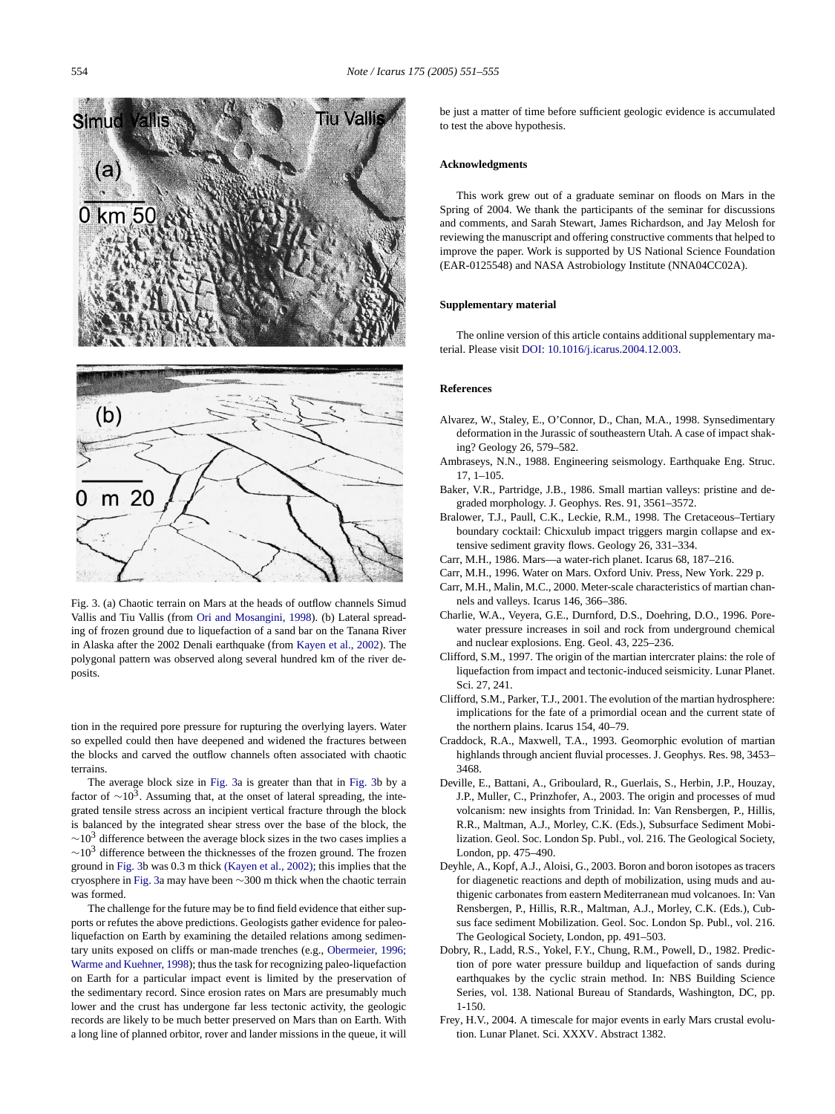<span id="page-3-0"></span>

Fig. 3. (a) Chaotic terrain on Mars at the heads of [outflow channels S](#page-4-0)imud Vallis and Tiu Vallis (from Ori and Mosangini, 1998). (b) Lateral spreading of frozen ground due to liquefaction of a sand bar on the Tanana River in Alaska after the 2002 Denali earthquake (from Kayen et al., 2002). The polygonal pattern was observed along several hundred km of the river deposits.

tion in the required pore pressure for rupturing the overlying layers. Water so expelled could then have deepened and widened the fractures between the blocks and carved the outflow channels often associated with chaotic terrains.

The average block size in Fig. 3a is greater than that in Fig. 3b by a factor of  $\sim$ 10<sup>3</sup>. Assuming that, at the onset of lateral spreading, the integrated tensile stress across an incipient vertical fracture through the block is balanced by the integrated she[ar stress over the ba](#page-4-0)se of the block, the  $\sim$ 10<sup>3</sup> difference between the average block sizes in the two cases implies a  $\sim$ 10<sup>3</sup> difference between the thicknesses of the frozen ground. The frozen ground in Fig. 3b was 0.3 m thick (Kayen et al., 2002); this implies that the cryosphere in Fig. 3a may have been ∼300 m thick when the chaotic terrain was formed.

The challenge for the future may be to find field evide[nce that either sup](#page-4-0)[ports or refutes the above p](#page-4-0)redictions. Geologists gather evidence for paleoliquefaction on Earth by examining the detailed relations among sedimentary units exposed on cliffs or man-made trenches (e.g., Obermeier, 1996; Warme and Kuehner, 1998); thus the task for recognizing paleo-liquefaction on Earth for a particular impact event is limited by the preservation of the sedimentary record. Since erosion rates on Mars are presumably much lower and the crust has undergone far less tectonic activity, the geologic records are likely to be much better preserved on Mars than on Earth. With a long line of planned orbitor, rover and lander missions in the queue, it will be just a matter of time before sufficient geologic evidence is accumulated to test the above hypothesis.

# **Acknowledgments**

This work grew out of a graduate seminar on floods on Mars in the Spring of 2004. We thank the participants of the seminar for discussions and comments, and Sarah Stewart, James Richardson, and Jay Melosh for reviewing the manuscript and offering constructive comments that helped to improve the paper. Work is supported by US National Science Foundation (EAR-0125548) and NASA Astrobiology Institute (NNA04CC02A).

# **Supplementary [material](http://dx.doi.org/10.1016/j.icarus.2004.12.003)**

The online version of this article contains additional supplementary material. Please visit DOI: 10.1016/j.icarus.2004.12.003.

## **References**

- Alvarez, W., Staley, E., O'Connor, D., Chan, M.A., 1998. Synsedimentary deformation in the Jurassic of southeastern Utah. A case of impact shaking? Geology 26, 579–582.
- Ambraseys, N.N., 1988. Engineering seismology. Earthquake Eng. Struc. 17, 1–105.
- Baker, V.R., Partridge, J.B., 1986. Small martian valleys: pristine and degraded morphology. J. Geophys. Res. 91, 3561–3572.
- Bralower, T.J., Paull, C.K., Leckie, R.M., 1998. The Cretaceous–Tertiary boundary cocktail: Chicxulub impact triggers margin collapse and extensive sediment gravity flows. Geology 26, 331–334.
- Carr, M.H., 1986. Mars—a water-rich planet. Icarus 68, 187–216.
- Carr, M.H., 1996. Water on Mars. Oxford Univ. Press, New York. 229 p.
- Carr, M.H., Malin, M.C., 2000. Meter-scale characteristics of martian channels and valleys. Icarus 146, 366–386.
- Charlie, W.A., Veyera, G.E., Durnford, D.S., Doehring, D.O., 1996. Porewater pressure increases in soil and rock from underground chemical and nuclear explosions. Eng. Geol. 43, 225–236.
- Clifford, S.M., 1997. The origin of the martian intercrater plains: the role of liquefaction from impact and tectonic-induced seismicity. Lunar Planet. Sci. 27, 241.
- Clifford, S.M., Parker, T.J., 2001. The evolution of the martian hydrosphere: implications for the fate of a primordial ocean and the current state of the northern plains. Icarus 154, 40–79.
- Craddock, R.A., Maxwell, T.A., 1993. Geomorphic evolution of martian highlands through ancient fluvial processes. J. Geophys. Res. 98, 3453– 3468.
- Deville, E., Battani, A., Griboulard, R., Guerlais, S., Herbin, J.P., Houzay, J.P., Muller, C., Prinzhofer, A., 2003. The origin and processes of mud volcanism: new insights from Trinidad. In: Van Rensbergen, P., Hillis, R.R., Maltman, A.J., Morley, C.K. (Eds.), Subsurface Sediment Mobilization. Geol. Soc. London Sp. Publ., vol. 216. The Geological Society, London, pp. 475–490.
- Deyhle, A., Kopf, A.J., Aloisi, G., 2003. Boron and boron isotopes as tracers for diagenetic reactions and depth of mobilization, using muds and authigenic carbonates from eastern Mediterranean mud volcanoes. In: Van Rensbergen, P., Hillis, R.R., Maltman, A.J., Morley, C.K. (Eds.), Cubsus face sediment Mobilization. Geol. Soc. London Sp. Publ., vol. 216. The Geological Society, London, pp. 491–503.
- Dobry, R., Ladd, R.S., Yokel, F.Y., Chung, R.M., Powell, D., 1982. Prediction of pore water pressure buildup and liquefaction of sands during earthquakes by the cyclic strain method. In: NBS Building Science Series, vol. 138. National Bureau of Standards, Washington, DC, pp. 1-150.
- Frey, H.V., 2004. A timescale for major events in early Mars crustal evolution. Lunar Planet. Sci. XXXV. Abstract 1382.